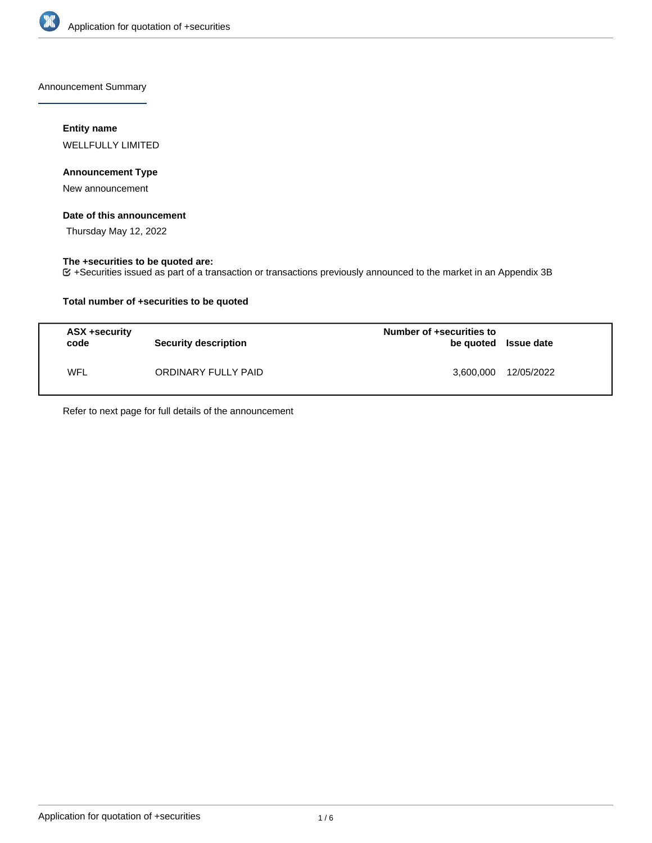

Announcement Summary

## **Entity name**

WELLFULLY LIMITED

## **Announcement Type**

New announcement

### **Date of this announcement**

Thursday May 12, 2022

### **The +securities to be quoted are:**

+Securities issued as part of a transaction or transactions previously announced to the market in an Appendix 3B

## **Total number of +securities to be quoted**

| ASX +security<br>code | <b>Security description</b> | Number of +securities to<br>be quoted Issue date |            |
|-----------------------|-----------------------------|--------------------------------------------------|------------|
| WFL                   | ORDINARY FULLY PAID         | 3,600,000                                        | 12/05/2022 |

Refer to next page for full details of the announcement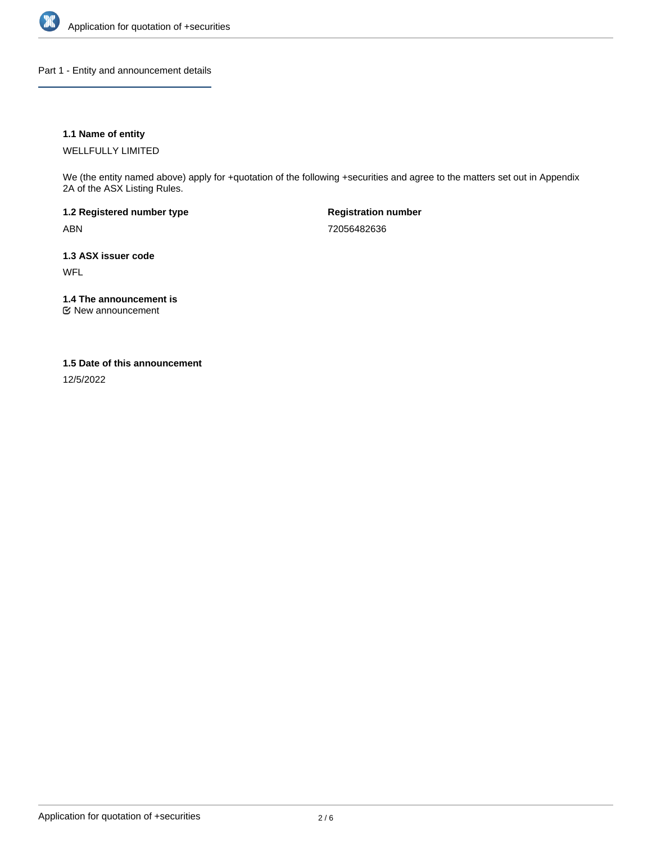

Part 1 - Entity and announcement details

## **1.1 Name of entity**

WELLFULLY LIMITED

We (the entity named above) apply for +quotation of the following +securities and agree to the matters set out in Appendix 2A of the ASX Listing Rules.

**1.2 Registered number type** ABN

**Registration number** 72056482636

**1.3 ASX issuer code** WFL

**1.4 The announcement is**

New announcement

### **1.5 Date of this announcement**

12/5/2022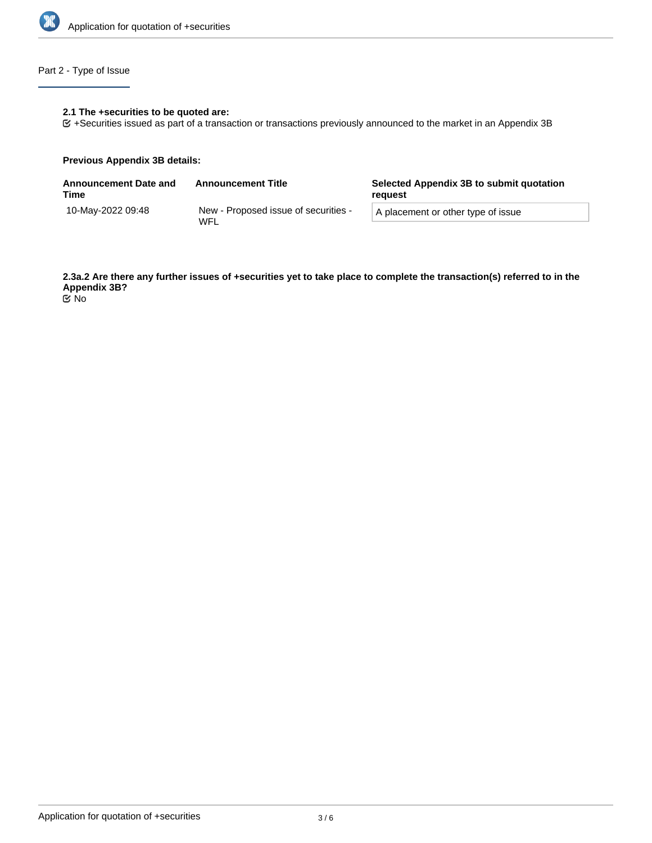

# Part 2 - Type of Issue

## **2.1 The +securities to be quoted are:**

+Securities issued as part of a transaction or transactions previously announced to the market in an Appendix 3B

#### **Previous Appendix 3B details:**

| <b>Announcement Date and</b><br>Time | <b>Announcement Title</b>                   | Selected Appendix 3B to submit quotation<br>reauest |  |
|--------------------------------------|---------------------------------------------|-----------------------------------------------------|--|
| 10-Mav-2022 09:48                    | New - Proposed issue of securities -<br>WFL | A placement or other type of issue                  |  |

**2.3a.2 Are there any further issues of +securities yet to take place to complete the transaction(s) referred to in the Appendix 3B?** No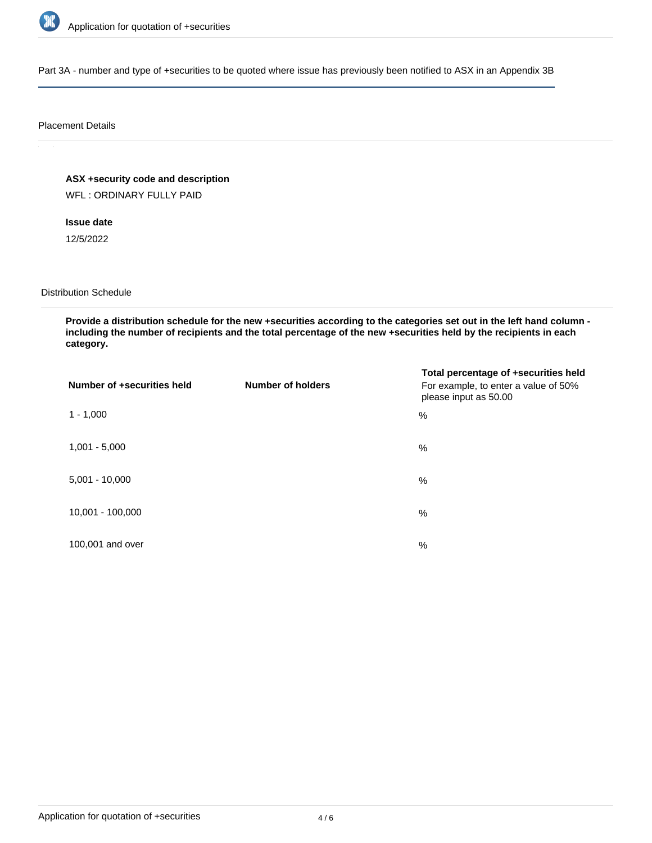

Part 3A - number and type of +securities to be quoted where issue has previously been notified to ASX in an Appendix 3B

#### Placement Details

**ASX +security code and description**

WFL : ORDINARY FULLY PAID

**Issue date**

12/5/2022

Distribution Schedule

**Provide a distribution schedule for the new +securities according to the categories set out in the left hand column including the number of recipients and the total percentage of the new +securities held by the recipients in each category.**

| Number of +securities held | <b>Number of holders</b> | Total percentage of +securities held<br>For example, to enter a value of 50%<br>please input as 50.00 |
|----------------------------|--------------------------|-------------------------------------------------------------------------------------------------------|
| $1 - 1,000$                |                          | %                                                                                                     |
| $1,001 - 5,000$            |                          | $\%$                                                                                                  |
| $5,001 - 10,000$           |                          | %                                                                                                     |
| 10,001 - 100,000           |                          | $\frac{0}{0}$                                                                                         |
| 100,001 and over           |                          | $\%$                                                                                                  |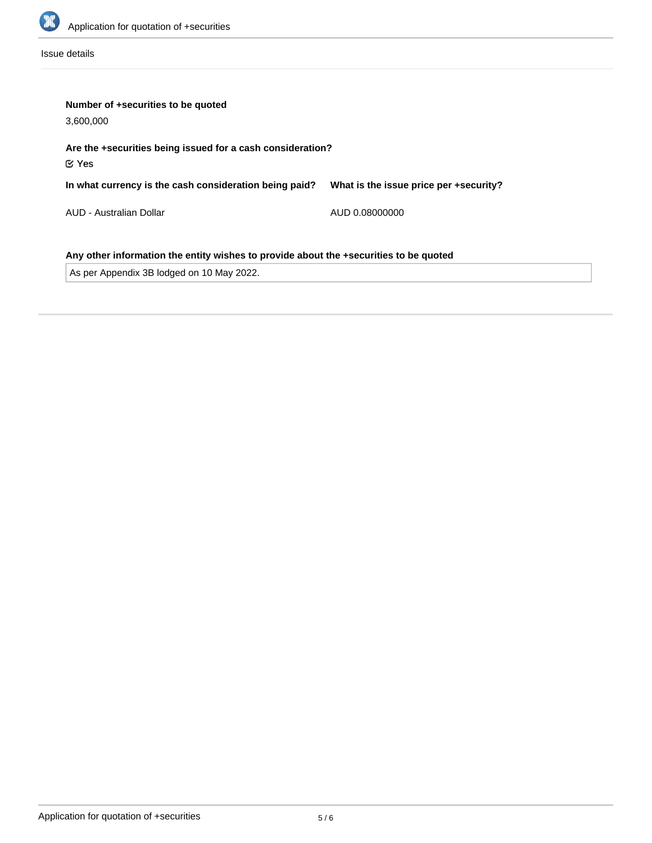

Issue details

| Number of +securities to be quoted<br>3,600,000                                                                                    |                                        |  |  |  |
|------------------------------------------------------------------------------------------------------------------------------------|----------------------------------------|--|--|--|
| Are the +securities being issued for a cash consideration?<br>$\mathfrak C$ Yes                                                    |                                        |  |  |  |
| In what currency is the cash consideration being paid?                                                                             | What is the issue price per +security? |  |  |  |
| AUD - Australian Dollar                                                                                                            | AUD 0.08000000                         |  |  |  |
| Any other information the entity wishes to provide about the +securities to be quoted<br>As per Appendix 3B lodged on 10 May 2022. |                                        |  |  |  |